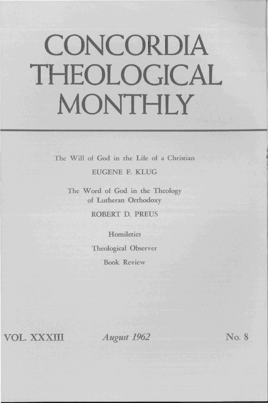# **CONCORDIA THEOLOGICAL MONTHLY**

The Will of God in the Life of a Christian

EUGENE F. KLUG

The Word of God in the Theology of Lutheran Orthodoxy

ROBERT D. PREUS

**Homiletics** Theological Observer Book Review

**VOL.xxxm** 

*August 1962* No. 8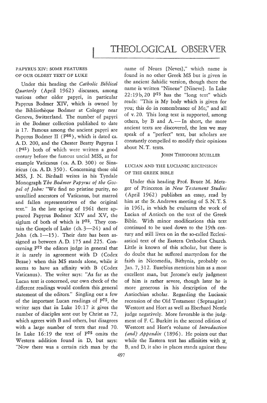# PAPYRUS XIV: SOME FEATURES OF OUR OLDEST TEXT OF LUKE

Under this heading the *Catholic Biblical Quarterly* (April 1962) discusses, among various other older papyri, in particular Papyrus Bodmer XIV, which is owned by the Bibliothèque Bodmer at Cologny near Geneva, Switzerland. The number of papyri in the Bodmer collection published to date is 17. Famous among the ancient papyri are Papyrus Bodmer II (P<sup>66</sup>), which is dated ca. A. D. 200, and the Chester Beatty Papyrus I ( P45) both of which were written a good century before the famous uncial MSS, as for example Vaticanus (ca. A. D. 300) or Sinaiticus (ca. A. D. 350). Concerning these old MSS, J. N. Birdsall writes in his Tyndale Monograph *The Bodmer Papyrus of the Gospel of John:* "We find no pristine purity, no unsullied ancestors of Vaticanus, but marred and fallen representatives of the original text." In the late spring of 1961 there appeared Papyrus Bodmer XIV and XV, the siglum of both of which is P75. They contain the Gospels of Luke (ch.  $3-24$ ) and of John (ch.  $1-15$ ). Their date has been assigned as between A. D. 175 and 225. Concerning p75 the editors judge in general that it is rarely in agreement with D (Codex Bezae) when this MS stands alone, while it seems to have an affinity with B (Codex Vaticanus). The writer says: "As far as the Lucan text is concerned, our own check of the different readings would confirm this general statement of the editors." Singling out a few of the important Lucan readings of p75, the writer says that in Luke 10:17 it gives the number of disciples sent out by Christ as 72, which agrees with B and others, but disagrees with a large number of texts that read 70. In Luke 16:19 the text of p75 omits the Western addition found in D, but says: "Now there was a certain rich man by the

name of Neues [Neves}," which name is found in no other Greek MS but is given in the ancient Sahidic version, though there the name is written "Nineue" [Nineve}. In Luke  $22:19b$ ,  $20P<sup>75</sup>$  has the "long text" which reads: "This is My body which is given for you; this do in remembrance of Me," and all of v. 20. This long text is supported, among others, by  $B$  and  $A$ . - In short, the more ancient texts are discovered, the less we may speak of a "perfect" text, but scholars are constantly compelled to modify their opinions about N. T. texts.

### **JOHN THEODORE MUELLER**

# LUCIAN AND THE LUCIANIC RECENSION OF THE GREEK BIBLE

Under this heading Prof. Bruce M. Metzger of Princeton in *New T estament Studies*  (April 1962) publishes an essay, read by him at the St. Andrews meeting of S. N. T. S. in 1961, in which he evaluates the work of Lucian of Antioch on the text of the Greek Bible. With minor modifications this text continued to be used down to the 19th century and still lives on in the so-called Ecclesiastical text of the Eastern Orthodox Church. Little is known of this scholar, but there is do doubt that he suffered martyrdom for the faith in Nicomedia, Bithynia, probably on Jan. 7,312. Eusebius mentions him as a most excellent man, but Jerome's early judgment of him is rather severe, though later he is more generous in his description of the Antiochian scholar. Regarding the Lucianic recension of the Old Testament (Septuagint) Westcott and Hort as well as Eberhard Nestle judge negatively. More favorable is the judgment of F. C. Burkitt in the second edition of Westcott and Hort's volume of *Introduction {and} Appendix* (1896) . He points out that while the Eastern text has affinities with N. B, and D, it also in places stands against these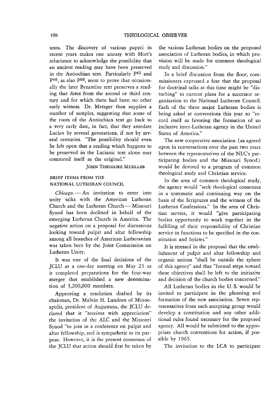texts. The discovery of various papyri in recent years makes one uneasy with Hort's reluctance to acknowledge the possibility that an ancient reading may have been preserved in the Antiochian text. Particularly p45 and  $P<sup>46</sup>$ , as also  $P<sup>66</sup>$ , seem to prove that occasionally the later Byzantine text preserves a reading that dates from the second or third century and for which there had been no other early witness. Dr. Metzger then supplies a number of samples, suggesting that some of the roots of the Antiochian text go back to a very early date, in fact, that they antedate Lucian by several generations, if not by several centuries. "The possibility should even be left open that a reading which happens to be preserved in the Lucianic text alone may commend itself as the original."

#### JOHN THEODORE MUELLER

#### BRIEF ITEMS FROM THE NATIONAL LUTHERAN COUNCIL

Chicago. - An invitation to enter into unity talks with the American Lutheran Church and the Lutheran Church - Missouri Synod has been declined in behalf of the emerging Lutheran Church in America. The negative action on a proposal for discussions looking toward pulpit and altar fellowship among all branches of American Lutheranism was taken here by the Joint Commission on Lutheran Unity.

It was one of the final decisions of the JCLU at a one-day meeting on May 25 as it completed preparations for the four-way merger that established a new denomination of 3,200,000 members.

Approving a resolution drafted by its chairman, Dr. Malvin H. Lundeen of Minneapolis, president of Augustana, the JCLU declared that it "receives with appreciation" the invitation of the ALC and the Missouri Synod "to join in a conference on pulpit and altar fellowship, and is sympathetic to its purpose. However, it is the present consensus of the JCLU that action should first be taken by

the various Lutheran bodies on the proposed association of Lutheran bodies, in which provision will be made for common theological study and discussion."

In a brief discussion from the floor, commissioners expressed a fear that the proposal for doctrinal talks at this time might be "disturbing" to current plans for a successor organization to the National Lutheran Council. Each of the three major Lutheran bodies is being asked at conventions this year to "record itself as favoring the formation of an inclusive inter-Lutheran agency in the United States of America."

The new cooperative association (as agreed upon in conversations over the past two years between the representatives of the NLC's participating bodies and the Missouri Synod) would be devoted to a program of common theological study and Christian service.

In the area of common theological study, the agency would "seek theological consensus in a systematic and continuing way on the basis of the Scriptures and the witness of the Lutheran Confessions." In the area of Christian service, it would "give participating bodies opportunity to work together in the fulfilling of their responsibility of Christian service in functions to be specified in the constitution and bylaws."

It is stressed in the proposal that the establishment of pulpit and altar fellowship and organic unions "shall be outside the sphere of this agency" and that "formal steps toward these objectives shall be left to the initiative and decision of the church bodies concerned."

All Lutheran bodies in the U. S. would be invited to participate in the planning and formation of the new association. Seven representatives from each accepting group would develop a constitution and any other additional rules found necessary for the proposed agency. All would be submitted to the appropriate church conventions for action, if possible by 1965.

The invitation to the LCA to participate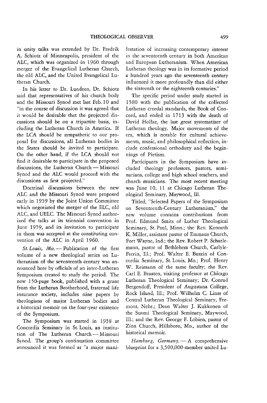in unity talks was extended by Dr. Fredrik A. Schiotz of Minneapolis, president of the ALC, which was organized in 1960 through merger of the Evangelical Lutheran Church, the old ALC, and the United Evangelical Lutheran Church.

In his letter to Dr. Lundeen, Dr. Schiotz said that representatives of his church body and the Missouri Synod met last Feb. 10 and "in the course of discussion it was agreed that it would be desirable that the projected discussions should be on a tripartite basis, including the Lutheran Church in America. If the LCA should be sympathetic to our proposal for discussions, all Lutheran bodies in the States should be invited to participate. On the other hand, if the LCA should not find it desirable to participate in the proposed discussions, the Lutheran Church - Missouri Synod and the ALC would proceed with the discussions as first projected."

Doctrinal discussions between the new ALC and the Missouri Synod were proposed early in 1959 by the Joint Union Committee which negotiated the merger of the ELC, old ALC, and UELC. The Missouri Synod authorized the talks at its triennial convention in June 1959, and its invitation to participate in them was accepted at the constituting convention of the ALC in April 1960.

St. Louis, Mo. - Publication of the first volume of a new theological series on Lutheranism of the seventeenth century was announced here by officials of an inter-Lutheran Symposium created to study the period. The new 150-page book, published with a grant from the Lutheran Brotherhood, fraternal life insurance society, includes nine papers by theologians of major Lutheran bodies and a historical memoir on the four-year existence of the Symposium.

The Symposium was started in 1958 at Concordia Seminary in St. Louis, an institution of The Lutheran Church-Missouri Synod. The group's continuation committee announced it was formed as "a major mani-

festation of increasing contemporary interest in the seventeenth century in both American and European Lutheranism. When American Lutheran theology was in its formative period a hundred years ago the seventeenth century influenced it more profoundly than did either the sixteenth or the eighteenth centuries."

The specific period under study started in 1580 with the publication of the collected Lutheran creedal standards, the Book of Concord, and ended in 1713 with the death of David Hollaz, the last great systematizer of Lutheran theology. Major movements of the era, which is notable for cultural achievements, music, and philosophical reflection, include confessional orthodoxy and the beginnings of Pietism.

Participants in the Symposium have included theology professors, pastors, seminarians, college and high school teachers, and church musicians. The most recent meeting was June 10, 11 at Chicago Lutheran Theological Seminary, Maywood, Ill.

Titled, "Selected Papers of the Symposium on Seventeenth-Century Lutheranism," the new volume contains contributions from Prof. Edmund Smits of Luther Theological Seminary, St. Paul, Minn.; the Rev. Kenneth K. Miller, assistant pastor of Emmaus Church, Fort Wayne, Ind.; the Rev. Robert P. Scharlemann, pastor of Bethlehem Church, Carlyle-Ferrin, Ill.; Prof. Walter E. Buszin of Concordia Seminary, St. Louis, Mo.; Prof. Henry \if. Reimann of the same faculty; the Rev. Carl E. Braaten, visiting professor at Chicago Lutheran Theological Seminary; Dr. Conrad Bergendoff, President of Augustana College, Rock Island, Ill.; Prof. Wilhelm C. Linss of Central Lutheran Theological Seminary, Fremont, Nebr.; Dean Walter J. Kukkonen of the Suomi Theological Seminary, Maywood, Ill.; and the Rev. George F. Lobien, pastor of Zion Church, Hillsboro, Mo., author of the historical memoir.

*Hamburg, Germany.* - A comprehensive blueprint for a 3,500,000-member united Lu-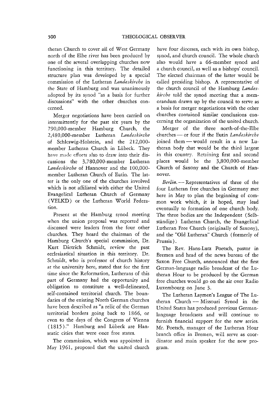theran Church to cover all of West Germany north of the Elbe river has been produced by one of the several overlapping churches now functioning in this territory. The detailed structure plan was developed *by* a special commission of the Lutheran *Landeskii'che* in the State of Hamburg and was unanimously adopted by its synod "as a basis for further discussions" with the other churches concerned.

Merger negotiations have been carried on intermittently for the past six years by the 790,OOO-member Hamburg Church, the 2,480,000-member Lutheran *Landeskirche* of Schleswig-Holstein, and the 212,000 member Lutheran Church in Lübeck. They have made efforts also to draw into their discussions the 3,7S0,OOO-member Lutheran Landeskirche of Hannover and the 100,000member Lutheran Church of Eutin. The latter is the only one of the churches involved which is not affiliated with either the United Evangelical Lutheran Church of Germany (VELKD) or the Lutheran World Federation.

Present at the Hamburg synod meeting when the union proposal was reported and discussed were leaders from the four other churches. They heard the chairman of the Hamburg Church's special commission, Dr. Kurt Dietrich Schmidt, review the past ecclesiastical situation in this territory. Dr. Schmidt, who is professor of church history at the university here, stated that for the first time since the Reformation, Lutherans of this part of Germany had the opportunity and obligation to constitute a well-delineated, self-contained territorial church. The boundaries of the existing North German churches have been described as "a relic of the German territorial borders going back to 1866, or even to the days of the Congress of Vienna (1815)." Hamburg and Lubeck are Hanseatic cities that were once free states.

The commission, which was appointed in May 1961, proposed that the united church have four dioceses, each with its own bishop, synod, and church council. The whole church also would have a 66-member synod and a church council, as well as a bishops' council. The elected chairman of the latter would be called presiding bishop. A representative of the church council of the Hamburg *Landeskircbe* told the synod meeting that a memorandum drawn up by the council to serve as a basis for merger negotiations with the other churches contained similar conclusions concerning the organization of the united church.

Merger of the three north-of-the-Elbe churches - or four if the Eutin *Landeskircbe*  joined them - would result in a new Lutheran body that would be the third largest in this country. Retaining first and second places would be the 3,SOO,OOO-member Church of Saxony and the Church of Hannover.

*Berlin.* - Representatives of three of the four Lutheran free churches in Germany met here in May to plan the beginning of common work which, it is hoped, may lead eventually to formation of one church body. The three bodies are the Independent (Selbstandige) Lutheran Church, the Evangelical Lutheran Free Church (originally of Saxony), and the "Old Lutheran" Church (formerly of Prussia) .

The Rev. Hans-Lutz Poetsch, pastor in Bremen and head of the news bureau of the Saxon Free Church, announced that the first German-language radio broadcast of the Lutheran Hour to be produced by the German free churches would go on the air over Radio Luxembourg on June 3.

The Lutheran Laymen's League of The Lutheran Church - Missouri Synod in the United States has produced previous Germanlanguage broadcasts and will continue to furnish financial support for the new series. Mr. Poetsch, manager of the Lutheran Hour branch office in Bremen, will serve as coordinator and main speaker for the new program.